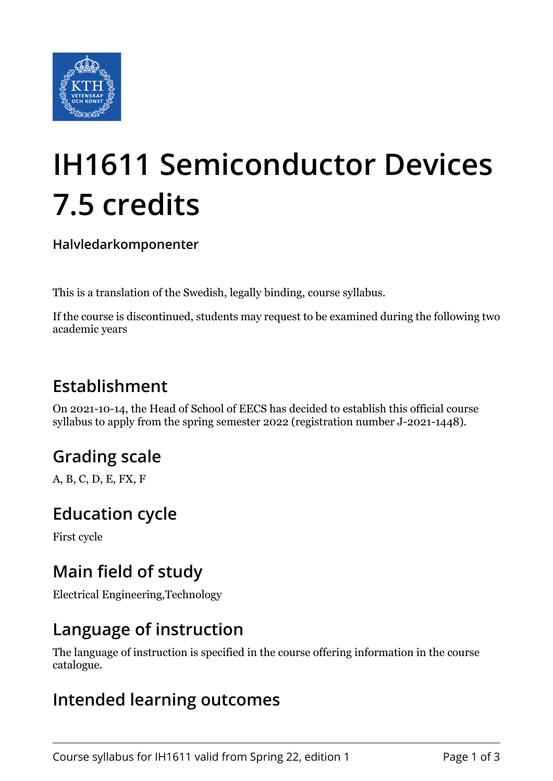

# **IH1611 Semiconductor Devices 7.5 credits**

**Halvledarkomponenter**

This is a translation of the Swedish, legally binding, course syllabus.

If the course is discontinued, students may request to be examined during the following two academic years

## **Establishment**

On 2021-10-14, the Head of School of EECS has decided to establish this official course syllabus to apply from the spring semester 2022 (registration number J-2021-1448).

# **Grading scale**

A, B, C, D, E, FX, F

## **Education cycle**

First cycle

## **Main field of study**

Electrical Engineering,Technology

#### **Language of instruction**

The language of instruction is specified in the course offering information in the course catalogue.

#### **Intended learning outcomes**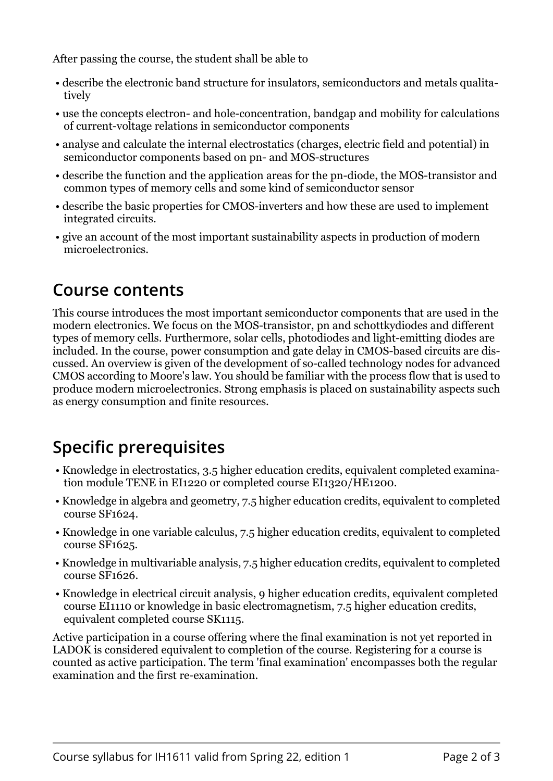After passing the course, the student shall be able to

- describe the electronic band structure for insulators, semiconductors and metals qualitatively
- use the concepts electron- and hole-concentration, bandgap and mobility for calculations of current-voltage relations in semiconductor components
- analyse and calculate the internal electrostatics (charges, electric field and potential) in semiconductor components based on pn- and MOS-structures
- describe the function and the application areas for the pn-diode, the MOS-transistor and common types of memory cells and some kind of semiconductor sensor
- describe the basic properties for CMOS-inverters and how these are used to implement integrated circuits.
- give an account of the most important sustainability aspects in production of modern microelectronics.

## **Course contents**

This course introduces the most important semiconductor components that are used in the modern electronics. We focus on the MOS-transistor, pn and schottkydiodes and different types of memory cells. Furthermore, solar cells, photodiodes and light-emitting diodes are included. In the course, power consumption and gate delay in CMOS-based circuits are discussed. An overview is given of the development of so-called technology nodes for advanced CMOS according to Moore's law. You should be familiar with the process flow that is used to produce modern microelectronics. Strong emphasis is placed on sustainability aspects such as energy consumption and finite resources.

# **Specific prerequisites**

- Knowledge in electrostatics, 3.5 higher education credits, equivalent completed examination module TENE in EI1220 or completed course EI1320/HE1200.
- Knowledge in algebra and geometry, 7.5 higher education credits, equivalent to completed course SF1624.
- Knowledge in one variable calculus, 7.5 higher education credits, equivalent to completed course SF1625.
- Knowledge in multivariable analysis, 7.5 higher education credits, equivalent to completed course SF1626.
- Knowledge in electrical circuit analysis, 9 higher education credits, equivalent completed course EI1110 or knowledge in basic electromagnetism, 7.5 higher education credits, equivalent completed course SK1115.

Active participation in a course offering where the final examination is not yet reported in LADOK is considered equivalent to completion of the course. Registering for a course is counted as active participation. The term 'final examination' encompasses both the regular examination and the first re-examination.